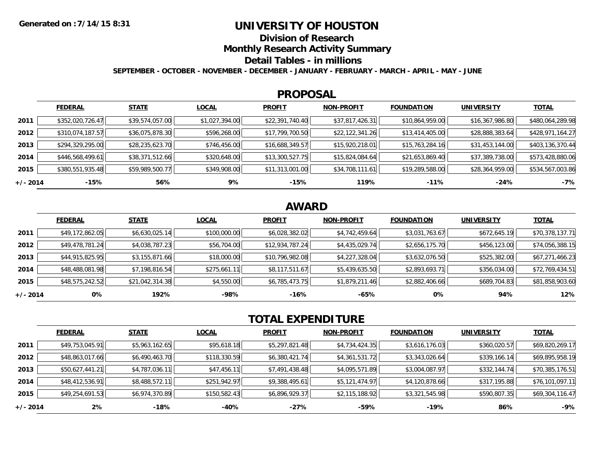## **UNIVERSITY OF HOUSTON**

**Division of Research**

**Monthly Research Activity Summary**

#### **Detail Tables - in millions**

**SEPTEMBER - OCTOBER - NOVEMBER - DECEMBER - JANUARY - FEBRUARY - MARCH - APRIL - MAY - JUNE**

#### **PROPOSAL**

|            | <b>FEDERAL</b>   | <b>STATE</b>    | <b>LOCAL</b>   | <b>PROFIT</b>   | <b>NON-PROFIT</b> | <b>FOUNDATION</b> | <b>UNIVERSITY</b> | <b>TOTAL</b>     |
|------------|------------------|-----------------|----------------|-----------------|-------------------|-------------------|-------------------|------------------|
| 2011       | \$352,020,726.47 | \$39,574,057.00 | \$1,027,394.00 | \$22,391,740.40 | \$37,817,426.31   | \$10,864,959.00   | \$16,367,986.80   | \$480,064,289.98 |
| 2012       | \$310,074,187.57 | \$36,075,878.30 | \$596,268.00   | \$17,799,700.50 | \$22,122,341.26   | \$13,414,405.00   | \$28,888,383.64   | \$428,971,164.27 |
| 2013       | \$294,329,295.00 | \$28,235,623.70 | \$746,456.00   | \$16,688,349.57 | \$15,920,218.01   | \$15,763,284.16   | \$31,453,144.00   | \$403,136,370.44 |
| 2014       | \$446,568,499.61 | \$38,371,512.66 | \$320,648.00   | \$13,300,527.75 | \$15,824,084.64   | \$21,653,869.40   | \$37,389,738.00   | \$573,428,880.06 |
| 2015       | \$380,551,935.48 | \$59,989,500.77 | \$349,908.00   | \$11,313,001.00 | \$34,708,111.61   | \$19,289,588.00   | \$28,364,959.00   | \$534,567,003.86 |
| $+/- 2014$ | -15%             | 56%             | 9%             | $-15%$          | 119%              | $-11%$            | $-24%$            | $-7%$            |

# **AWARD**

|            | <b>FEDERAL</b>  | <b>STATE</b>    | <b>LOCAL</b> | <b>PROFIT</b>   | <b>NON-PROFIT</b> | <b>FOUNDATION</b> | <b>UNIVERSITY</b> | <u>TOTAL</u>    |
|------------|-----------------|-----------------|--------------|-----------------|-------------------|-------------------|-------------------|-----------------|
| 2011       | \$49,172,862.05 | \$6,630,025.14  | \$100,000.00 | \$6,028,382.02  | \$4,742,459.64    | \$3,031,763.67    | \$672,645.19      | \$70,378,137.71 |
| 2012       | \$49,478,781.24 | \$4,038,787.23  | \$56,704.00  | \$12,934,787.24 | \$4,435,029.74    | \$2,656,175.70    | \$456,123.00      | \$74,056,388.15 |
| 2013       | \$44,915,825.95 | \$3,155,871.66  | \$18,000.00  | \$10,796,982.08 | \$4,227,328.04    | \$3,632,076.50    | \$525,382.00      | \$67,271,466.23 |
| 2014       | \$48,488,081.98 | \$7,198,816.54  | \$275,661.11 | \$8,117,511.67  | \$5,439,635.50    | \$2,893,693.71    | \$356,034.00      | \$72,769,434.51 |
| 2015       | \$48,575,242.52 | \$21,042,314.38 | \$4,550.00   | \$6,785,473.75  | \$1,879,211.46    | \$2,882,406.66    | \$689,704.83      | \$81,858,903.60 |
| $+/- 2014$ | 0%              | 192%            | -98%         | $-16%$          | -65%              | 0%                | 94%               | 12%             |

# **TOTAL EXPENDITURE**

|            | <b>FEDERAL</b>  | <b>STATE</b>   | <b>LOCAL</b> | <b>PROFIT</b>  | <b>NON-PROFIT</b> | <b>FOUNDATION</b> | <b>UNIVERSITY</b> | <b>TOTAL</b>    |
|------------|-----------------|----------------|--------------|----------------|-------------------|-------------------|-------------------|-----------------|
| 2011       | \$49,753,045.91 | \$5,963,162.65 | \$95,618.18  | \$5,297,821.48 | \$4,734,424.35    | \$3,616,176.03    | \$360,020.57      | \$69,820,269.17 |
| 2012       | \$48,863,017.66 | \$6,490,463.70 | \$118,330.59 | \$6,380,421.74 | \$4,361,531.72    | \$3,343,026.64    | \$339,166.14      | \$69,895,958.19 |
| 2013       | \$50,627,441.21 | \$4,787,036.11 | \$47,456.11  | \$7,491,438.48 | \$4,095,571.89    | \$3,004,087.97    | \$332,144.74      | \$70,385,176.51 |
| 2014       | \$48,412,536.91 | \$8,488,572.11 | \$251,942.97 | \$9,388,495.61 | \$5,121,474.97    | \$4,120,878.66    | \$317,195.88      | \$76,101,097.11 |
| 2015       | \$49,254,691.53 | \$6,974,370.89 | \$150,582.43 | \$6,896,929.37 | \$2,115,188.92    | \$3,321,545.98    | \$590,807.35      | \$69,304,116.47 |
| $+/- 2014$ | 2%              | $-18%$         | -40%         | $-27%$         | -59%              | $-19%$            | 86%               | $-9%$           |